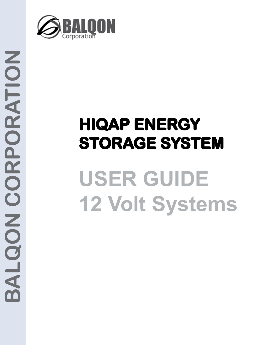

# **HIQAP ENERGY STORAGE SYSTEM USER GUIDE 12 Volt Systems**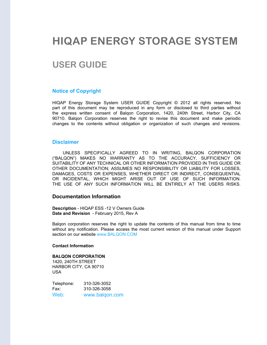# **HIQAP ENERGY STORAGE SYSTEM**

# **USER GUIDE**

#### **Notice of Copyright**

HIQAP Energy Storage System USER GUIDE Copyright © 2012 all rights reserved. No part of this document may be reproduced in any form or disclosed to third parties without the express written consent of Balqon Corporation, 1420, 240th Street, Harbor City, CA 90710. Balqon Corporation reserves the right to revise this document and make periodic changes to the contents without obligation or organization of such changes and revisions.

#### **Disclaimer**

UNLESS SPECIFICALLY AGREED TO IN WRITING, BALQON CORPORATION ("BALQON") MAKES NO WARRANTY AS TO THE ACCURACY, SUFFICIENCY OR SUITABILITY OF ANY TECHNICAL OR OTHER INFORMATION PROVIDED IN THIS GUIDE OR OTHER DOCUMENTATION; ASSUMES NO RESPONSIBILITY OR LIABILITY FOR LOSSES, DAMAGES, COSTS OR EXPENSES, WHETHER DIRECT OR INDIRECT, CONSEQUENTIAL OR INCIDENTAL, WHICH MIGHT ARISE OUT OF USE OF SUCH INFORMATION. THE USE OF ANY SUCH INFORMATION WILL BE ENTIRELY AT THE USERS RISKS.

#### **Documentation Information**

**Description** - HIQAP ESS -12 V Owners Guide **Date and Revision** - February 2015, Rev A

Balqon corporation reserves the right to update the contents of this manual from time to time without any notification. Please access the most current version of this manual under Support section on our website www.BALQON.COM

#### **Contact Information**

#### **BALQON CORPORATION**

1420, 240TH STREET HARBOR CITY, CA 90710 USA

| Telephone: | 310-326-3052   |
|------------|----------------|
| Fax:       | 310-326-3058   |
| Web:       | www.balqon.com |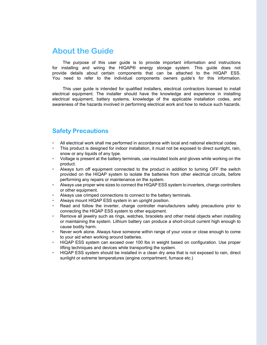# **About the Guide**

The purpose of this user guide is to provide important information and instructions for installing and wiring the HIQAP® energy storage system. This guide does not provide details about certain components that can be attached to the HIQAP ESS. You need to refer to the individual components owners guide's for this information.

This user guide is intended for qualified installers, electrical contractors licensed to install electrical equipment. The installer should have the knowledge and experience in installing electrical equipment, battery systems, knowledge of the applicable installation codes, and awareness of the hazards involved in performing electrical work and how to reduce such hazards.

## **Safety Precautions**

- All electrical work shall me performed in accordance with local and national electrical codes.
- This product is designed for indoor installation, it must not be exposed to direct sunlight, rain, snow or any liquids of any type.
- Voltage is present at the battery terminals, use insulated tools and gloves while working on the product.
- Always turn off equipment connected to the product in addition to turning OFF the switch provided on the HIQAP system to isolate the batteries from other electrical circuits, before performing any repairs or maintenance on the system.
- Always use proper wire sizes to connect the HIQAP ESS system to inverters, charge controllers or other equipment.
- Always use crimped connections to connect to the battery terminals.
- Always mount HIQAP ESS system in an upright position.
- Read and follow the inverter, charge controller manufacturers safety precautions prior to connecting the HIQAP ESS system to other equipment.
- Remove all jewelry such as rings, watches, bracelets and other metal objects when installing or maintaining the system. Lithium battery can produce a short-circuit current high enough to cause bodily harm.
- Never work alone. Always have someone within range of your voice or close enough to come to your aid when working around batteries.
- HIQAP ESS system can exceed over 100 lbs in weight based on configuration. Use proper lifting techniques and devices while transporting the system.
- HIQAP ESS system should be installed in a clean dry area that is not exposed to rain, direct sunlight or extreme temperatures (engine compartment, furnace etc.)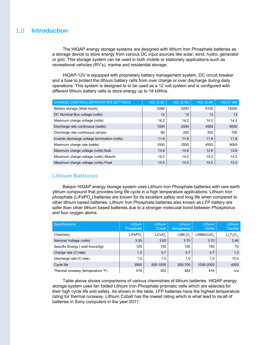# 1.0 **Introduction**

The HIQAP energy storage systems are designed with lithium Iron Phosphate batteries as a storage device to store energy from various DC input sources like solar, wind, hydro, generator or grid. This storage system can be used in both mobile or stationary applications such as recreational vehicles (RV's), marine and residential storage.

HIQAP-12V is equipped with proprietary battery management system, DC circuit breaker and a fuse to protect the lithium battery cells from over charge or over discharge during daily operations. This system is designed to to be used as a 12 volt system and is configured with different lithium battery cells to store energy up to 18 kWhrs.

| <b>CHARGE CONTROLLER/INVERTER SETTINGS</b>     | <b>HQ-12-2K</b> | <b>HQ-12-5K</b> | <b>HQ-12-9K</b> | <b>HQ12-18K</b> |
|------------------------------------------------|-----------------|-----------------|-----------------|-----------------|
| Battery storage (Watt hours)                   | 2080            | 5200            | 9100            | 18200           |
| DC Nominal Bus voltage (volts)                 | 13              | 13              | 13              | 13              |
| Maximum charge voltage (volts)                 | 14.2            | 14.2            | 14.2            | 14.2            |
| Discharge rate continuous (watts)              | 1000            | 2500            | 4500            | 9000            |
| Discharge rate continuous (amps)               | 80              | 200             | 350             | 700             |
| Inverter discharge voltage termination (volts) | 11.8            | 11.8            | 11.8            | 11.8            |
| Maximum charge rate (watts)                    | 1000            | 2500            | 4500            | 9000            |
| Maximum charge voltage (volts) Bulk            | 13.8            | 13.8            | 13.8            | 13.8            |
| Maximum charge voltage (volts) Absorb          | 14.2            | 14.2            | 14.2            | 14.2            |
| Maximum charge voltage (volts) Float           | 13.5            | 13.5            | 13.5            | 13.5            |

#### **Lithium Batteries**

Balqon HIQAP energy storage system uses Lithium Iron Phosphate batteries with rare earth yttrium compound that provides long life cycle in a high temperature applications. Lithium Iron phosphate (LiFePO<sub>4</sub>) batteries are known for its excellent safety and long life when compared to other lithium based batteries. Lithium Iron Phosphate batteries also known as LFP battery are safer than other lithium based batteries due to a stronger molecular bond between Phosphorus and four oxygen atoms.

| <b>Specifications</b>            | <b>Lithium</b><br>Phosphate | <b>Lithium</b><br>Cobalt | <b>Lithium</b><br><b>Manganese</b> | <b>Lithium</b><br><b>Nickel</b> | <b>Lithium</b><br><b>Titanate</b> |
|----------------------------------|-----------------------------|--------------------------|------------------------------------|---------------------------------|-----------------------------------|
| Chemistry                        | LiFePO,                     | LiCoO <sub>2</sub>       | LiMn <sub>a</sub> O <sub>a</sub>   | LiNiMnCoO <sub>2</sub>          | $Li_4Ti_5O_{12}$                  |
| Nominal Voltage (volts)          | 3.25                        | 3.60                     | 3.70                               | 3.70                            | 2.40                              |
| Specific Energy (watt-hours/kg)  | 120                         | 150                      | 100                                | 150                             | 70                                |
| Charge rate (C-rate)             | 1.0                         | 0.7                      | 0.7                                | 0.7                             | 1.0                               |
| Discharge rate (C-rate)          | 1.0                         | 1.0                      | 1.0                                | 1.0                             | 10.0                              |
| Cycle life                       | 3500                        | 500-1000                 | 300-700                            | 1000-2000                       | 4000                              |
| Thermal runaway (temperature °F) | 518                         | 302                      | 482                                | 410                             | n/a                               |

Table above shows comparisons of various chemistries of lithium batteries. HIQAP energy storage system uses fan folded Lithium Iron Phosphate prismatic cells which are selected for their high cycle life and safety. As shown in the table, LFP batteries have the highest temperature rating for thermal runaway. Lithium Cobalt has the lowest rating which is what lead to recall of batteries in Sony computers in the year 2011.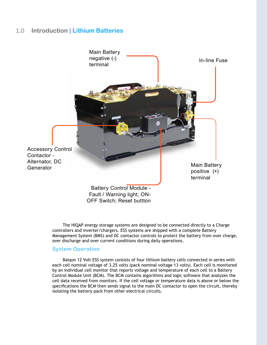# 1.0 **Introduction | Lithium Batteries**



The HIQAP energy storage systems are designed to be connected directly to a Charge controllers and inverter/chargers. ESS systems are shipped with a complete Battery Management System (BMS) and DC contactor controls to protect the battery from over charge, over discharge and over current conditions during daily operations.

#### **System Operation**

Balqon 12 Volt ESS system consists of four lithium battery cells connected in series with each cell nominal voltage of 3.25 volts (pack nominal voltage 13 volts). Each cell is monitored by an individual cell monitor that reports voltage and temperature of each cell to a Battery Control Module Unit (BCM). The BCM contains algorithms and logic software that analyzes the cell data received from monitors. If the cell voltage or temperature data is above or below the specifications the BCM then sends signal to the main DC contactor to open the circuit, thereby isolating the battery pack from other electrical circuits.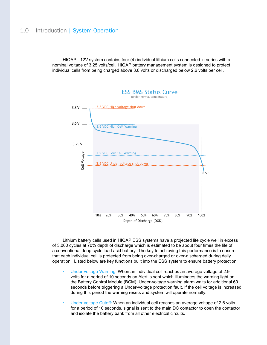## 1.0 Introduction | System Operation

HIQAP - 12V system contains four (4) individual lithium cells connected in series with a nominal voltage of 3.25 volts/cell. HIQAP battery management system is designed to protect individual cells from being charged above 3.8 volts or discharged below 2.6 volts per cell.



Lithium battery cells used in HIQAP ESS systems have a projected life cycle well in excess of 3,000 cycles at 70% depth of discharge which is estimated to be about four times the life of a conventional deep cycle lead acid battery. The key to achieving this performance is to ensure that each individual cell is protected from being over-charged or over-discharged during daily operation. Listed below are key functions built into the ESS system to ensure battery protection:

- Under-voltage Warning: When an individual cell reaches an average voltage of 2.9 volts for a period of 10 seconds an Alert is sent which illuminates the warning light on the Battery Control Module (BCM). Under-voltage warning alarm waits for additional 60 seconds before triggering a Under-voltage protection fault. If the cell voltage is increased during this period the warning resets and system will operate normally.
- Under-voltage Cutoff: When an individual cell reaches an average voltage of 2.6 volts for a period of 10 seconds, signal is sent to the main DC contactor to open the contactor and isolate the battery bank from all other electrical circuits.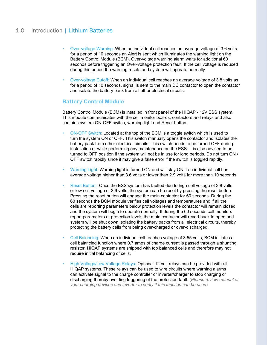# 1.0 Introduction | Lithium Batteries

- Over-voltage Warning: When an individual cell reaches an average voltage of 3.6 volts for a period of 10 seconds an Alert is sent which illuminates the warning light on the Battery Control Module (BCM). Over-voltage warning alarm waits for additional 60 seconds before triggering an Over-voltage protection fault. If the cell voltage is reduced during this period the warning resets and system will operate normally.
- Over-voltage Cutoff: When an individual cell reaches an average voltage of 3.8 volts as for a period of 10 seconds, signal is sent to the main DC contactor to open the contactor and isolate the battery bank from all other electrical circuits.

#### **Battery Control Module**

Battery Control Module (BCM) is installed in front panel of the HIQAP - 12V ESS system. This module communicates with the cell monitor boards, contactors and relays and also contains system ON-OFF switch, warning light and Reset button.

- ON-OFF Switch: Located at the top of the BCM is a toggle switch which is used to turn the system ON or OFF. This switch manually opens the contactor and isolates the battery pack from other electrical circuits. This switch needs to be turned OFF during installation or while performing any maintenance on the ESS. It is also advised to be turned to OFF position if the system will not be in use for long periods. Do not turn ON / OFF switch rapidly since it may give a false error if the switch is toggled rapidly.
- Warning Light: Warning light is turned ON and will stay ON if an individual cell has average voltage higher than 3.6 volts or lower than 2.9 volts for more than 10 seconds.
- Reset Button: Once the ESS system has faulted due to high cell voltage of 3.8 volts or low cell voltage of 2.6 volts, the system can be reset by pressing the reset button. Pressing the reset button will engage the main contactor for 60 seconds. During the 60 seconds the BCM module verifies cell voltages and temperatures and if all the cells are reporting parameters below protection levels the contactor will remain closed and the system will begin to operate normally. If during the 60 seconds cell monitors report parameters at protection levels the main contactor will revert back to open and system will be shut down isolating the battery packs from all electrical circuits, thereby protecting the battery cells from being over-charged or over-discharged.
- Cell Balancing: When an individual cell reaches voltage of 3.55 volts, BCM initiates a cell balancing function where 0.7 amps of charge current is passed through a shunting resistor. HIQAP systems are shipped with top balanced cells and therefore may not require initial balancing of cells.
- High Voltage/Low Voltage Relays: Optional 12 volt relays can be provided with all HIQAP systems. These relays can be used to wire circuits where warning alarms can activate signal to the charge controller or inverter/charger to stop charging or discharging thereby avoiding triggering of the protection fault. (*Please review manual of your charging devices and inverter to verify if this function can be used*)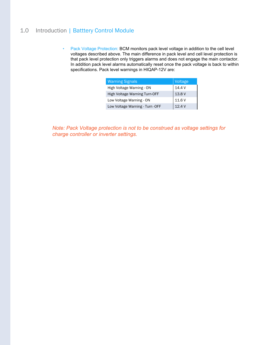# 1.0 Introduction | Batttery Control Module

• Pack Voltage Protection: BCM monitors pack level voltage in addition to the cell level voltages described above. The main difference in pack level and cell level protection is that pack level protection only triggers alarms and does not engage the main contactor. In addition pack level alarms automatically reset once the pack voltage is back to within specifications. Pack level warnings in HIQAP-12V are:

| <b>Warning Signals</b>           | Voltage |  |
|----------------------------------|---------|--|
| High Voltage Warning - ON        | 14.4V   |  |
| High Voltage Warning Turn-OFF    | 13.8 V  |  |
| Low Voltage Warning - ON         | 11.6 V  |  |
| Low Voltage Warning - Turn - OFF | 12.4V   |  |

*Note: Pack Voltage protection is not to be construed as voltage settings for charge controller or inverter settings.*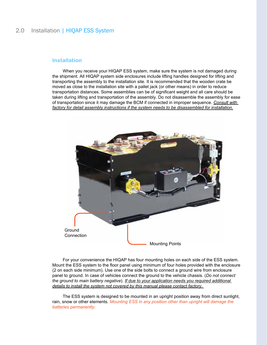# 2.0 Installation | HIQAP ESS System

#### **Installation**

When you receive your HIQAP ESS system, make sure the system is not damaged during the shipment. All HIQAP system side enclosures include lifting handles designed for lifting and transporting the assembly to the installation site. It is recommended that the wooden crate be moved as close to the installation site with a pallet jack (or other means) in order to reduce transportation distances. Some assemblies can be of significant weight and all care should be taken during lifting and transportation of the assembly. Do not disassemble the assembly for ease of transportation since it may damage the BCM if connected in improper sequence. *Consult with factory for detail assembly instructions if the system needs to be disassembled for installation.*



For your convenience the HIQAP has four mounting holes on each side of the ESS system. Mount the ESS system to the floor panel using minimum of four holes provided with the enclosure (2 on each side minimum). Use one of the side bolts to connect a ground wire from enclosure panel to ground. In case of vehicles connect the ground to the vehicle chassis. (*Do not connect the ground to main battery negative*). *If due to your application needs you required additional details to install the system not covered by this manual please contact factory.* 

The ESS system is designed to be mounted in an upright position away from direct sunlight, rain, snow or other elements. *Mounting ESS in any position other than upright will damage the batteries permanently.*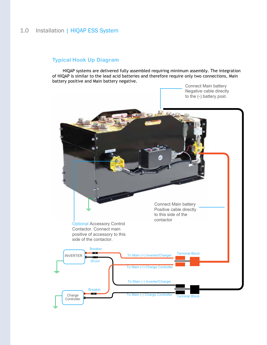# 1.0 Installation | HIQAP ESS System

#### **Typical Hook Up Diagram**

HIQAP systems are delivered fully assembled requiring minimum assembly. The integration of HIQAP is similar to the lead acid batteries and therefore require only two connections, Main battery positive and Main battery negative.

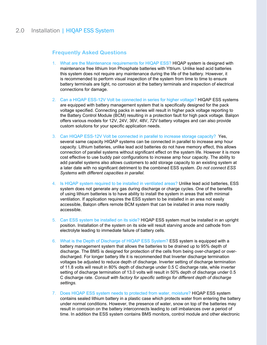# 2.0 Installation | HIQAP ESS System

#### **Frequently Asked Questions**

- 1. What are the Maintenance requirements for HIQAP ESS? HIQAP system is designed with maintenance free lithium Iron Phosphate batteries with Yttrium. Unlike lead acid batteries this system does not require any maintenance during the life of the battery. However, it is recommended to perform visual inspection of the system from time to time to ensure battery terminals are tight, no corrosion at the battery terminals and inspection of electrical connections for damage.
- 2. Can a HIQAP ESS-12V Volt be connected in series for higher voltage? HIQAP ESS systems are equipped with battery management system that is specifically designed for the pack voltage specified. Connecting packs in series will result in higher pack voltage reporting to the Battery Control Module (BCM) resulting in a protection fault for high pack voltage. Balqon offers various models for 12V, 24V, 36V, 48V, 72V battery voltages and can also provide custom solutions for your specific application needs.
- 3. Can HIQAP ESS-12V Volt be connected in parallel to increase storage capacity? Yes, several same capacity HIQAP systems can be connected in parallel to increase amp hour capacity. Lithium batteries, unlike lead acid batteries do not have memory effect, this allows connection of parallel systems without significant effect on the system life. However it is more cost effective to use buddy pair configurations to increase amp hour capacity. The ability to add parallel systems also allows customers to add storage capacity to an existing system at a later date with no significant detriment to the combined ESS system. *Do not connect ESS Systems with different capacities in parallel.*
- 4. Is HIQAP system required to be installed in ventilated areas? Unlike lead acid batteries, ESS system does not generate any gas during discharge or charge cycles. One of the benefits of using lithium batteries is to have ability to install the system in areas that with minimal ventilation. If application requires the ESS system to be installed in an area not easily accessible, Balqon offers remote BCM system that can be installed in area more readily accessible.
- 5. Can ESS system be installed on its side? HIQAP ESS system must be installed in an upright position. Installation of the system on its side will result starving anode and cathode from electrolyte leading to immediate failure of battery cells.
- 6. What is the Depth of Discharge of HIQAP ESS System? ESS system is equipped with a battery management system that allows the batteries to be drained up to 95% depth of discharge. The BMS is designed for protection of the cells from being over-charged or overdischarged. For longer battery life it is recommended that Inverter discharge termination voltages be adjusted to reduce depth of discharge. Inverter setting of discharge termination of 11.8 volts will result in 80% depth of discharge under 0.5 C discharge rate, while inverter setting of discharge termination of 13.0 volts will result in 50% depth of discharge under 0.5 C discharge rate. *Consult with factory for specific settings for different depth of discharge settings.*
- 7. Does HIQAP ESS system needs to protected from water, moisture? HIQAP ESS system contains sealed lithium battery in a plastic case which protects water from entering the battery under normal conditions. However, the presence of water, snow on top of the batteries may result in corrosion on the battery interconnects leading to cell imbalances over a period of time. In addition the ESS system contains BMS monitors, control module and other electronic